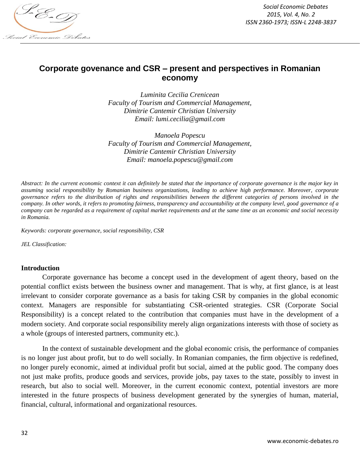

*Social Economic Debates 2015, Vol. 4, No. 2 ISSN 2360-1973; ISSN-L 2248-3837*

# **Corporate govenance and CSR – present and perspectives in Romanian economy**

*Luminita Cecilia Crenicean Faculty of Tourism and Commercial Management, Dimitrie Cantemir Christian University Email: lumi.cecilia@gmail.com*

*Manoela Popescu Faculty of Tourism and Commercial Management, Dimitrie Cantemir Christian University Email: manoela.popescu@gmail.com*

*Abstract: In the current economic context it can definitely be stated that the importance of corporate governance is the major key in assuming social responsibility by Romanian business organizations, leading to achieve high performance. Moreover, corporate governance refers to the distribution of rights and responsibilities between the different categories of persons involved in the company. In other words, it refers to promoting fairness, transparency and accountability at the company level, good governance of a company can be regarded as a requirement of capital market requirements and at the same time as an economic and social necessity in Romania.*

*Keywords: corporate governance, social responsibility, CSR*

*JEL Classification:* 

### **Introduction**

Corporate governance has become a concept used in the development of agent theory, based on the potential conflict exists between the business owner and management. That is why, at first glance, is at least irrelevant to consider corporate governance as a basis for taking CSR by companies in the global economic context. Managers are responsible for substantiating CSR-oriented strategies. CSR (Corporate Social Responsibility) is a concept related to the contribution that companies must have in the development of a modern society. And corporate social responsibility merely align organizations interests with those of society as a whole (groups of interested partners, community etc.).

In the context of sustainable development and the global economic crisis, the performance of companies is no longer just about profit, but to do well socially. In Romanian companies, the firm objective is redefined, no longer purely economic, aimed at individual profit but social, aimed at the public good. The company does not just make profits, produce goods and services, provide jobs, pay taxes to the state, possibly to invest in research, but also to social well. Moreover, in the current economic context, potential investors are more interested in the future prospects of business development generated by the synergies of human, material, financial, cultural, informational and organizational resources.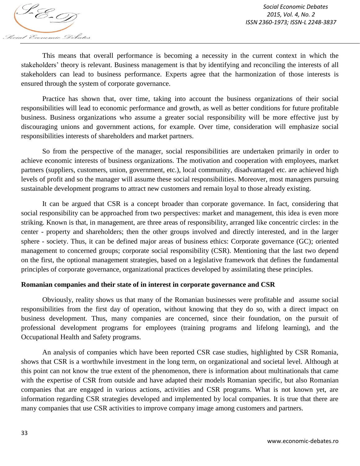This means that overall performance is becoming a necessity in the current context in which the stakeholders' theory is relevant. Business management is that by identifying and reconciling the interests of all stakeholders can lead to business performance. Experts agree that the harmonization of those interests is ensured through the system of corporate governance.

Practice has shown that, over time, taking into account the business organizations of their social responsibilities will lead to economic performance and growth, as well as better conditions for future profitable business. Business organizations who assume a greater social responsibility will be more effective just by discouraging unions and government actions, for example. Over time, consideration will emphasize social responsibilities interests of shareholders and market partners.

So from the perspective of the manager, social responsibilities are undertaken primarily in order to achieve economic interests of business organizations. The motivation and cooperation with employees, market partners (suppliers, customers, union, government, etc.), local community, disadvantaged etc. are achieved high levels of profit and so the manager will assume these social responsibilities. Moreover, most managers pursuing sustainable development programs to attract new customers and remain loyal to those already existing.

It can be argued that CSR is a concept broader than corporate governance. In fact, considering that social responsibility can be approached from two perspectives: market and management, this idea is even more striking. Known is that, in management, are three areas of responsibility, arranged like concentric circles: in the center - property and shareholders; then the other groups involved and directly interested, and in the larger sphere - society. Thus, it can be defined major areas of business ethics: Corporate governance (GC); oriented management to concerned groups; corporate social responsibility (CSR). Mentioning that the last two depend on the first, the optional management strategies, based on a legislative framework that defines the fundamental principles of corporate governance, organizational practices developed by assimilating these principles.

## **Romanian companies and their state of in interest in corporate governance and CSR**

Obviously, reality shows us that many of the Romanian businesses were profitable and assume social responsibilities from the first day of operation, without knowing that they do so, with a direct impact on business development. Thus, many companies are concerned, since their foundation, on the pursuit of professional development programs for employees (training programs and lifelong learning), and the Occupational Health and Safety programs.

An analysis of companies which have been reported CSR case studies, highlighted by CSR Romania, shows that CSR is a worthwhile investment in the long term, on organizational and societal level. Although at this point can not know the true extent of the phenomenon, there is information about multinationals that came with the expertise of CSR from outside and have adapted their models Romanian specific, but also Romanian companies that are engaged in various actions, activities and CSR programs. What is not known yet, are information regarding CSR strategies developed and implemented by local companies. It is true that there are many companies that use CSR activities to improve company image among customers and partners.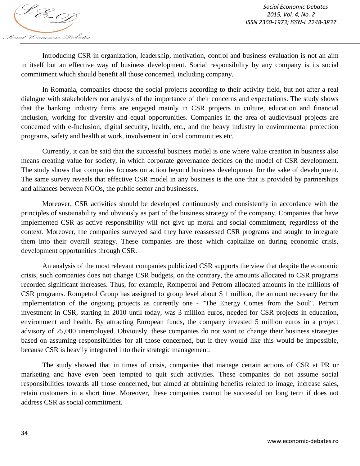Introducing CSR in organization, leadership, motivation, control and business evaluation is not an aim in itself but an effective way of business development. Social responsibility by any company is its social commitment which should benefit all those concerned, including company.

In Romania, companies choose the social projects according to their activity field, but not after a real dialogue with stakeholders nor analysis of the importance of their concerns and expectations. The study shows that the banking industry firms are engaged mainly in CSR projects in culture, education and financial inclusion, working for diversity and equal opportunities. Companies in the area of audiovisual projects are concerned with e-Inclusion, digital security, health, etc., and the heavy industry in environmental protection programs, safety and health at work, involvement in local communities etc.

Currently, it can be said that the successful business model is one where value creation in business also means creating value for society, in which corporate governance decides on the model of CSR development. The study shows that companies focuses on action beyond business development for the sake of development, The same survey reveals that effective CSR model in any business is the one that is provided by partnerships and alliances between NGOs, the public sector and businesses.

Moreover, CSR activities should be developed continuously and consistently in accordance with the principles of sustainability and obviously as part of the business strategy of the company. Companies that have implemented CSR as active responsibility will not give up moral and social commitment, regardless of the context. Moreover, the companies surveyed said they have reassessed CSR programs and sought to integrate them into their overall strategy. These companies are those which capitalize on during economic crisis, development opportunities through CSR.

An analysis of the most relevant companies publicized CSR supports the view that despite the economic crisis, such companies does not change CSR budgets, on the contrary, the amounts allocated to CSR programs recorded significant increases. Thus, for example, Rompetrol and Petrom allocated amounts in the millions of CSR programs. Rompetrol Group has assigned to group level about \$ 1 million, the amount necessary for the implementation of the ongoing projects as currently one - "The Energy Comes from the Soul". Petrom investment in CSR, starting in 2010 until today, was 3 million euros, needed for CSR projects in education, environment and health. By attracting European funds, the company invested 5 million euros in a project advisory of 25,000 unemployed. Obviously, these companies do not want to change their business strategies based on assuming responsibilities for all those concerned, but if they would like this would be impossible, because CSR is heavily integrated into their strategic management.

The study showed that in times of crisis, companies that manage certain actions of CSR at PR or marketing and have even been tempted to quit such activities. These companies do not assume social responsibilities towards all those concerned, but aimed at obtaining benefits related to image, increase sales, retain customers in a short time. Moreover, these companies cannot be successful on long term if does not address CSR as social commitment.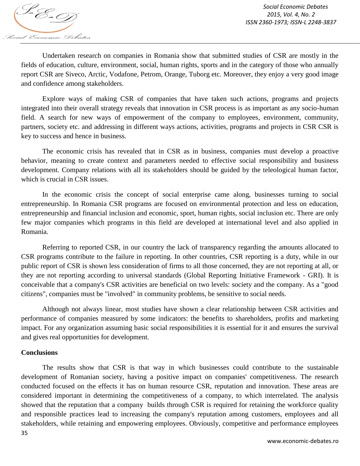

Undertaken research on companies in Romania show that submitted studies of CSR are mostly in the fields of education, culture, environment, social, human rights, sports and in the category of those who annually report CSR are Siveco, Arctic, Vodafone, Petrom, Orange, Tuborg etc. Moreover, they enjoy a very good image and confidence among stakeholders.

Explore ways of making CSR of companies that have taken such actions, programs and projects integrated into their overall strategy reveals that innovation in CSR process is as important as any socio-human field. A search for new ways of empowerment of the company to employees, environment, community, partners, society etc. and addressing in different ways actions, activities, programs and projects in CSR CSR is key to success and hence in business.

The economic crisis has revealed that in CSR as in business, companies must develop a proactive behavior, meaning to create context and parameters needed to effective social responsibility and business development. Company relations with all its stakeholders should be guided by the teleological human factor, which is crucial in CSR issues.

In the economic crisis the concept of social enterprise came along, businesses turning to social entrepreneurship. In Romania CSR programs are focused on environmental protection and less on education, entrepreneurship and financial inclusion and economic, sport, human rights, social inclusion etc. There are only few major companies which programs in this field are developed at international level and also applied in Romania.

Referring to reported CSR, in our country the lack of transparency regarding the amounts allocated to CSR programs contribute to the failure in reporting. In other countries, CSR reporting is a duty, while in our public report of CSR is shown less consideration of firms to all those concerned, they are not reporting at all, or they are not reporting according to universal standards (Global Reporting Initiative Framework - GRI). It is conceivable that a company's CSR activities are beneficial on two levels: society and the company. As a "good citizens", companies must be "involved" in community problems, be sensitive to social needs.

Although not always linear, most studies have shown a clear relationship between CSR activities and performance of companies measured by some indicators: the benefits to shareholders, profits and marketing impact. For any organization assuming basic social responsibilities it is essential for it and ensures the survival and gives real opportunities for development.

## **Conclusions**

35 The results show that CSR is that way in which businesses could contribute to the sustainable development of Romanian society, having a positive impact on companies' competitiveness. The research conducted focused on the effects it has on human resource CSR, reputation and innovation. These areas are considered important in determining the competitiveness of a company, to which interrelated. The analysis showed that the reputation that a company builds through CSR is required for retaining the workforce quality and responsible practices lead to increasing the company's reputation among customers, employees and all stakeholders, while retaining and empowering employees. Obviously, competitive and performance employees